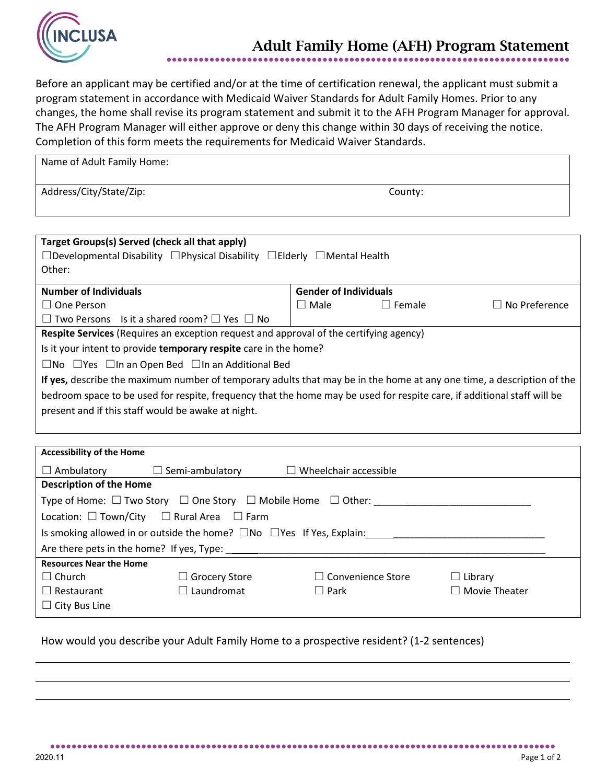

## Adult Family Home (AFH) Program Statement

●●●●●●●●●●●●●●●●●●●●●●●●●●●●●●●●●●●●●●●●●●●●●●●●●●●●●●●●●●●●●●●●●●●●●●●●●●●

Before an applicant may be certified and/or at the time of certification renewal, the applicant must submit a program statement in accordance with Medicaid Waiver Standards for Adult Family Homes. Prior to any changes, the home shall revise its program statement and submit it to the AFH Program Manager for approval. The AFH Program Manager will either approve or deny this change within 30 days of receiving the notice. Completion of this form meets the requirements for Medicaid Waiver Standards.

| Name of Adult Family Home: |         |
|----------------------------|---------|
| Address/City/State/Zip:    | County: |

| Target Groups(s) Served (check all that apply)                                                                          |                              |               |                         |  |  |
|-------------------------------------------------------------------------------------------------------------------------|------------------------------|---------------|-------------------------|--|--|
| $\Box$ Developmental Disability $\Box$ Physical Disability $\Box$ Elderly $\Box$ Mental Health                          |                              |               |                         |  |  |
| Other:                                                                                                                  |                              |               |                         |  |  |
|                                                                                                                         |                              |               |                         |  |  |
| <b>Number of Individuals</b>                                                                                            | <b>Gender of Individuals</b> |               |                         |  |  |
| $\Box$ One Person                                                                                                       | $\Box$ Male                  | $\Box$ Female | No Preference<br>$\Box$ |  |  |
| $\Box$ Two Persons Is it a shared room? $\Box$ Yes $\Box$ No                                                            |                              |               |                         |  |  |
| Respite Services (Requires an exception request and approval of the certifying agency)                                  |                              |               |                         |  |  |
| Is it your intent to provide temporary respite care in the home?                                                        |                              |               |                         |  |  |
| $\Box$ No $\Box$ Yes $\Box$ In an Open Bed $\Box$ In an Additional Bed                                                  |                              |               |                         |  |  |
| If yes, describe the maximum number of temporary adults that may be in the home at any one time, a description of the   |                              |               |                         |  |  |
| bedroom space to be used for respite, frequency that the home may be used for respite care, if additional staff will be |                              |               |                         |  |  |
| present and if this staff would be awake at night.                                                                      |                              |               |                         |  |  |
|                                                                                                                         |                              |               |                         |  |  |
|                                                                                                                         |                              |               |                         |  |  |
|                                                                                                                         |                              |               |                         |  |  |
| Associated the set that Homes                                                                                           |                              |               |                         |  |  |

| ACCESSIBILITY OF LITE HOTHE                                                            |                        |                              |                      |  |  |
|----------------------------------------------------------------------------------------|------------------------|------------------------------|----------------------|--|--|
| $\Box$ Ambulatory                                                                      | $\Box$ Semi-ambulatory | $\Box$ Wheelchair accessible |                      |  |  |
| <b>Description of the Home</b>                                                         |                        |                              |                      |  |  |
| Type of Home: $\Box$ Two Story $\Box$ One Story $\Box$ Mobile Home $\Box$ Other:       |                        |                              |                      |  |  |
| Location: $\Box$ Town/City $\Box$ Rural Area $\Box$ Farm                               |                        |                              |                      |  |  |
| Is smoking allowed in or outside the home? $\square$ No $\square$ Yes If Yes, Explain: |                        |                              |                      |  |  |
| Are there pets in the home? If yes, Type:                                              |                        |                              |                      |  |  |
| <b>Resources Near the Home</b>                                                         |                        |                              |                      |  |  |
| $\Box$ Church                                                                          | $\Box$ Grocery Store   | $\Box$ Convenience Store     | $\Box$ Library       |  |  |
| $\Box$ Restaurant                                                                      | $\Box$ Laundromat      | $\Box$ Park                  | $\Box$ Movie Theater |  |  |
| $\Box$ City Bus Line                                                                   |                        |                              |                      |  |  |
|                                                                                        |                        |                              |                      |  |  |

●●●●●●●●●●●●●●●●●●●●●●●●●●●●●●●●●●●●●●●●●●●●●●●●●●●●●●●●●●●●●●●●●●●●●●●●●●●●●●●●●●●●●●●●●●●●●●

How would you describe your Adult Family Home to a prospective resident? (1-2 sentences)